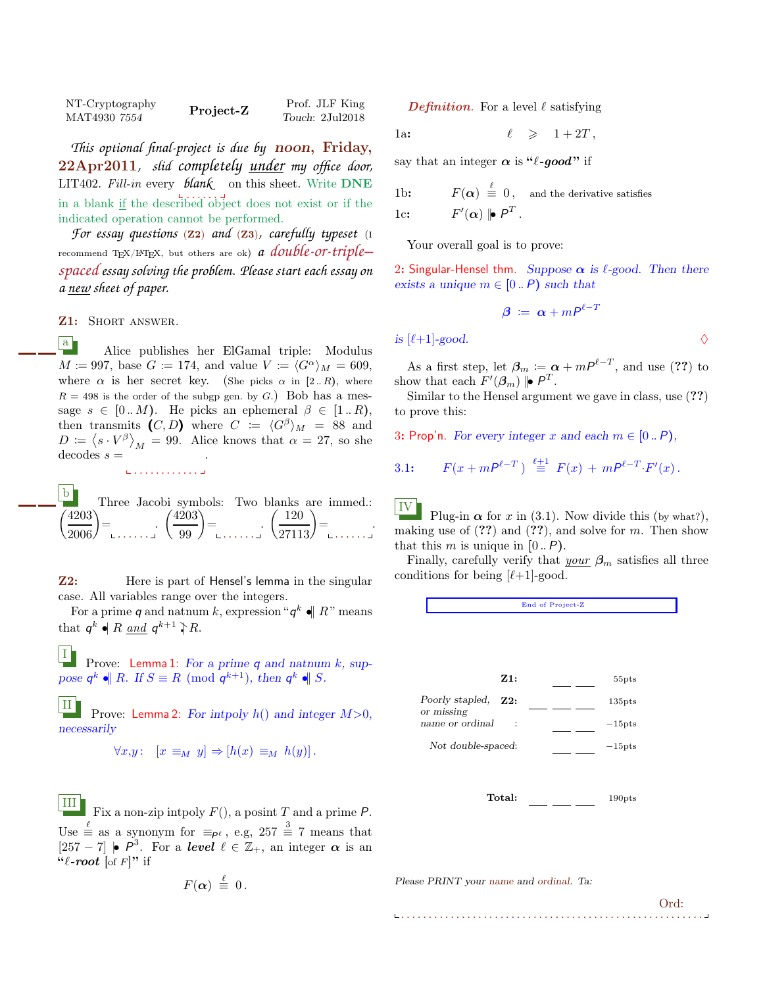| NT-Cryptography | Project-Z | Prof. JLF King  |
|-----------------|-----------|-----------------|
| MAT4930 7554    |           | Touch: 2Jul2018 |

*This optional final-project is due by* noon, Friday, 22Apr2011*, slid completely under my office door,* LIT402. Fill-in every *blank* on this sheet. Write DNE . . . . . . in a blank if the described object does not exist or if the indicated operation cannot be performed.

*For essay questions* (Z2) *and* (Z3)*, carefully typeset* (<sup>I</sup> recommend TEX/LATEX, but others are ok) *a double-or-triple– spaced essay solving the problem. Please start each essay on a new sheet of paper.*

Z1: SHORT ANSWER.

a Alice publishes her ElGamal triple: Modulus  $M \coloneqq 997$ , base  $G \coloneqq 174$ , and value  $V \coloneqq \langle G^{\alpha} \rangle_M = 609$ , where  $\alpha$  is her secret key. (She picks  $\alpha$  in [2.. R), where  $R = 498$  is the order of the subgp gen. by G.) Bob has a message  $s \in [0..M)$ . He picks an ephemeral  $\beta \in [1..R)$ , then transmits  $(C, D)$  where  $C := \langle G^{\beta} \rangle_M = 88$  and  $D := (s \cdot V^{\beta})_M = 99$ . Alice knows that  $\alpha = 27$ , so she  $decodes s =$ .

 $\mathbf{b}$  $\binom{4203}{2006}$ Three Jacobi symbols: Two blanks are immed.: = . . . . . . .  $\left(\frac{4203}{99}\right)$ = . . . . . . .  $\sqrt{ }$  $rac{120}{27113}$ = . . . . . . .

. . . . . . . . . . . .

**Z2:** Here is part of Hensel's lemma in the singular case. All variables range over the integers.

For a prime q and natnum k, expression " $q^k \cdot ||R$ " means that  $q^k \bullet R$  and  $q^{k+1} \uparrow R$ .

I Prove: Lemma 1: For a prime  $q$  and natnum  $k$ , suppose  $q^k \cdot || R$ . If  $S \equiv R \pmod{q^{k+1}}$ , then  $q^k \cdot || S$ .

II Prove: Lemma 2: For intpoly  $h()$  and integer  $M>0$ , necessarily

$$
\forall x, y: \ [x \equiv_M y] \Rightarrow [h(x) \equiv_M h(y)].
$$

III Fix a non-zip intpoly  $F()$ , a posint T and a prime P. Use  $\stackrel{\ell}{\equiv}$  as a synonym for  $\equiv_{P^{\ell}}$ , e.g, 257  $\stackrel{3}{\equiv}$  7 means that [257 − 7]  $\bullet$   $P^3$ . For a level  $\ell \in \mathbb{Z}_+$ , an integer  $\alpha$  is an  $``\ell$ -root [of F]" if

$$
F(\alpha) \stackrel{\ell}{\equiv} 0.
$$

**Definition.** For a level  $\ell$  satisfying

1a: 
$$
\ell \geqslant 1+2T
$$
,

say that an integer  $\alpha$  is " $\ell$ -good" if

1b:  $F(\alpha) \stackrel{\ell}{\equiv} 0$ , and the derivative satisfies 1c:  $F'(\alpha) \mid P^T$ .

Your overall goal is to prove:

2: Singular-Hensel thm. Suppose  $\alpha$  is  $\ell$ -good. Then there exists a unique  $m \in [0..P)$  such that

$$
\boldsymbol{\beta} \coloneqq \boldsymbol{\alpha} + m\boldsymbol{P}^{\ell - T}
$$

is  $[\ell+1]$ -good.  $\Diamond$ 

As a first step, let  $\beta_m \coloneqq \alpha + mP^{\ell-T}$ , and use (??) to show that each  $F'(\beta_m)$   $\vert \bullet \vert P^T$ .

Similar to the Hensel argument we gave in class, use (??) to prove this:

3: Prop'n. For every integer x and each  $m \in [0..P)$ ,

3.1: 
$$
F(x + mP^{\ell - T}) \stackrel{\ell + 1}{\equiv} F(x) + mP^{\ell - T} \cdot F'(x)
$$
.

IV Plug-in  $\alpha$  for x in (3.1). Now divide this (by what?), making use of  $(??)$  and  $(??)$ , and solve for m. Then show that this m is unique in  $[0..P]$ .

Finally, carefully verify that  $y_{\text{our}}$   $\beta_m$  satisfies all three conditions for being  $[\ell+1]$ -good.

End of Project-Z



. . . . . . . . . . . . . . . . . . . . . . . . . . . . . . . . . . . . . . . . . . . . . . . . . . . . . . . Ord: